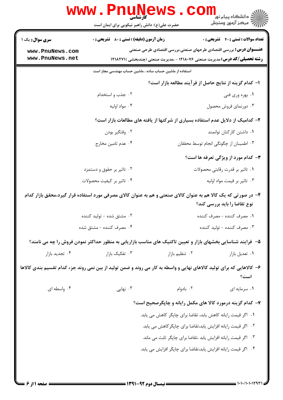|                                                                                                                               | WWW.Pnung<br>حضرت علی(ع): دانش راهبر نیکویی برای ایمان است |                                                                                                                 | دانشگاه پیام نور<br>ایج دانشگاه پیام نور<br>ایج مرکز آزمون وسنجش |  |
|-------------------------------------------------------------------------------------------------------------------------------|------------------------------------------------------------|-----------------------------------------------------------------------------------------------------------------|------------------------------------------------------------------|--|
| <b>سری سوال :</b> یک ۱                                                                                                        | <b>زمان آزمون (دقیقه) : تستی : 80 ٪ تشریحی : 0</b>         |                                                                                                                 | <b>تعداد سوالات : تستي : 40 - تشريحي : 0</b>                     |  |
| www.PnuNews.com                                                                                                               |                                                            | <b>عنـــوان درس:</b> بررسی اقتصادی طرحهای صنعتی،بررسی اقتصادی طرحی صنعتی                                        |                                                                  |  |
| www.PnuNews.net                                                                                                               |                                                            | <b>رشته تحصیلی/کد درس:</b> مدیریت صنعتی ۱۲۱۸۰۷۶ - ،مدیریت صنعتی (چندبخشی )۲۱۸۲۷۱ <b>۱</b>                       |                                                                  |  |
|                                                                                                                               |                                                            | استفاده از ماشین حساب ساده ، ماشین حساب مهندسی مجاز است                                                         |                                                                  |  |
|                                                                                                                               |                                                            | ا– كدام گزينه از نتايج حاصل از فرآيند مطالعه بازار است؟                                                         |                                                                  |  |
|                                                                                                                               | ۰۲ جذب و استخدام                                           |                                                                                                                 | ۰۱ بهره وری فنی                                                  |  |
|                                                                                                                               | ۰۴ مواد اوليه                                              |                                                                                                                 | ۰۳ دورنمای فروش محصول                                            |  |
|                                                                                                                               |                                                            | ۲- کدامیک از دلایل عدم استفاده بسیاری از شرکتها از یافته های مطالعات بازار است؟                                 |                                                                  |  |
|                                                                                                                               | ۰۲ وقتگیر بودن                                             |                                                                                                                 | ٠١ داشتن كاركنان توانمند                                         |  |
|                                                                                                                               | ۰۴ عدم تامین مخارج                                         |                                                                                                                 | ۰۳ اطمینان از چگونگی انجام توسط محققان                           |  |
|                                                                                                                               |                                                            |                                                                                                                 | <b>۳</b> - کدام مورد از ویژگی تعرفه ها است؟                      |  |
|                                                                                                                               | ۰۲ تاثیر بر حقوق و دستمزد                                  |                                                                                                                 | ۰۱ تاثیر بر قدرت رقابتی محصولات                                  |  |
|                                                                                                                               | ۰۴ تاثیر بر کیفیت محصولات                                  |                                                                                                                 | ۰۳ تاثیر بر قیمت مواد اولیه                                      |  |
|                                                                                                                               |                                                            | ۴– در صورتی که یک کالا هم به عنوان کالای صنعتی و هم به عنوان کالای مصرفی مورد استفاده قرار گیرد،محقق بازار کدام | نوع تقاضا را باید بررسی کند؟                                     |  |
|                                                                                                                               | ۰۲ مشتق شده - تولید کننده                                  |                                                                                                                 | ١. مصرف كننده - مصرف كننده                                       |  |
|                                                                                                                               | ۰۴ مصرف كننده - مشتق شده                                   |                                                                                                                 | ۰۳ مصرف کننده - تولید کننده                                      |  |
|                                                                                                                               |                                                            | ۵– فرایند شناسایی بخشهای بازار و تعیین تاکتیک های مناسب بازاریابی به منظور حداکثر نمودن فروش را چه می نامند؟    |                                                                  |  |
| ۰۴ تجدید بازار                                                                                                                | ۰۳ تفکیک بازار                                             | ٠٢ تنظيم بازار                                                                                                  | ٠١ تعديل بازار                                                   |  |
| ۶- کالاهایی که برای تولید کالاهای نهایی و واسطه به کار می روند و ضمن تولید از بین نمی روند جزء کدام تقسیم بندی کالاها<br>است؟ |                                                            |                                                                                                                 |                                                                  |  |
| ۰۴ واسطه ای                                                                                                                   | نهایی $\cdot$ ۳                                            | ۰۲ بادوام                                                                                                       | ۰۱ سرمایه ای                                                     |  |
|                                                                                                                               |                                                            | ۷- کدام گزینه درمورد کالا های مکمل رایانه و چاپگرصحیح است؟                                                      |                                                                  |  |
|                                                                                                                               |                                                            | 1. اگر قیمت رایانه کاهش یابد، تقاضا برای چاپگر کاهش می یابد.                                                    |                                                                  |  |
|                                                                                                                               |                                                            | ۰۲ اگر قیمت رایانه افزایش یابد،تقاضا برای چاپگر کاهش می یابد.                                                   |                                                                  |  |
|                                                                                                                               |                                                            | ۰۳ اگر قیمت رایانه افزایش یابد ،تقاضا برای چاپگر ثابت می ماند.                                                  |                                                                  |  |
|                                                                                                                               |                                                            | ۰۴ اگر قیمت رایانه افزایش یابد،تقاضا برای چاپگر افزایش می یابد.                                                 |                                                                  |  |
|                                                                                                                               |                                                            |                                                                                                                 |                                                                  |  |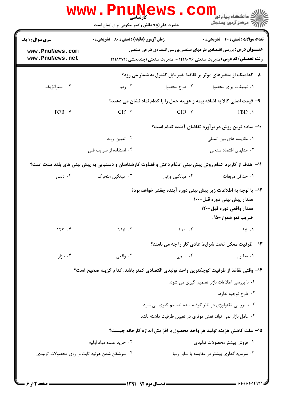|                        | <b>WWW.Pnunet</b><br>حضرت علی(ع): دانش راهبر نیکویی برای ایمان است                                       |                                                              | ≦ دانشگاه پيام نو <mark>ر</mark><br>رآ مرڪز آزمون وسنڊش                                   |
|------------------------|----------------------------------------------------------------------------------------------------------|--------------------------------------------------------------|-------------------------------------------------------------------------------------------|
| <b>سری سوال :</b> ۱ یک | <b>زمان آزمون (دقیقه) : تستی : 80 ٪ تشریحی : 0</b>                                                       |                                                              | <b>تعداد سوالات : تستی : 40 - تشریحی : 0</b>                                              |
| www.PnuNews.com        |                                                                                                          |                                                              | <b>عنـــوان درس:</b> بررسی اقتصادی طرحهای صنعتی،بررسی اقتصادی طرحی صنعتی                  |
| www.PnuNews.net        |                                                                                                          |                                                              | <b>رشته تحصیلی/کد درس:</b> مدیریت صنعتی ۱۲۱۸۰۷۶ - ،مدیریت صنعتی (چندبخشی )۲۱۸۲۷۱ <b>۱</b> |
|                        |                                                                                                          |                                                              | ۸– کدامیک از متغیرهای موثر بر تقاضا غیرقابل کنترل به شمار می رود؟                         |
| ۰۴ استراتژیک           | ۰۳ رقبا                                                                                                  | ۰۲ طرح محصول                                                 | ٠١ تبليغات براي محصول                                                                     |
|                        |                                                                                                          |                                                              | ۹- قیمت اصلی کالا به اضافه بیمه و هزینه حمل را با کدام نماد نشان می دهند؟                 |
| FOB.                   | CIF.                                                                                                     | CID.7                                                        | $FBD$ .                                                                                   |
|                        |                                                                                                          |                                                              | ۱۰– ساده ترین روش در برآورد تقاضای آینده کدام است؟                                        |
|                        | ۰۲ تعیین روند                                                                                            |                                                              | ٠١. مقايسه هاى بين المللي                                                                 |
|                        | ۰۴ استفاده از ضرایب فنی                                                                                  |                                                              | ۰۳ مدلهای اقتصاد سنجی                                                                     |
|                        | 1۱– هدف از کاربرد کدام روش پیش بینی ادغام دانش و قضاوت کارشناسان و دستیابی به پیش بینی های بلند مدت است؟ |                                                              |                                                                                           |
| ۰۴ دلفی                | ۰۳ میانگین متحرک                                                                                         | ۰۲ میانگین وزنی                                              | ٠١. حداقل مربعات                                                                          |
|                        |                                                                                                          |                                                              | 1۲–  با توجه به اطلاعات زیر پیش بینی دوره آینده چقدر خواهد بود؟                           |
|                        |                                                                                                          |                                                              | مقدار پیش بینی دوره قبل=۱۰۰                                                               |
|                        |                                                                                                          |                                                              | مقدار واقعی دوره قبل=۱۲۰                                                                  |
|                        |                                                                                                          |                                                              | ضريب نمو هموار =۵/.                                                                       |
| 157.5                  | 110.7                                                                                                    | 11.7                                                         | 90.1                                                                                      |
|                        |                                                                                                          |                                                              | ۱۳- ظرفیت ممکن تحت شرایط عادی کار را چه می نامند؟                                         |
| ۰۴ بازار $\cdot$       | ۰۳ واقعی                                                                                                 | ۰۲ اسمی                                                      | ۰۱ مطلوب                                                                                  |
|                        | ۱۴– وقتی تقاضا از ظرفیت کوچکترین واحد تولیدی اقتصادی کمتر باشد، کدام گزینه صحیح است؟                     |                                                              |                                                                                           |
|                        |                                                                                                          |                                                              | ٠١. با بررسي اطلاعات بازار تصميم گيري مي شود.                                             |
|                        |                                                                                                          |                                                              | ۰۲ طرح توجيه ندارد.                                                                       |
|                        |                                                                                                          | ۰۳ با بررسی تکنولوژی در نظر گرفته شده تصمیم گیری می شود.     |                                                                                           |
|                        |                                                                                                          | ۰۴ عامل بازار نمی تواند نقش موثری در تعیین ظرفیت داشته باشد. |                                                                                           |
|                        |                                                                                                          |                                                              | ۱۵– علت کاهش هزینه تولید هر واحد محصول با افزایش اندازه کارخانه چیست؟                     |
|                        | ۰۲ خرید عمده مواد اولیه                                                                                  |                                                              | ٠١ فروش بيشتر محصولات توليدي                                                              |
|                        | ۰۴ سرشکن شدن هزنیه ثابت بر روی محصولات تولیدی                                                            |                                                              | ۰۳ سرمایه گذاری بیشتر در مقایسه با سایر رقبا                                              |
|                        |                                                                                                          |                                                              |                                                                                           |

= 1 . 1 . / 1 . 1 . 1 7 9 1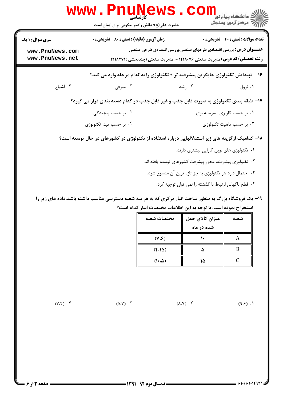|                                                              | <b>www.PnuNews</b><br>حضرت علی(ع): دانش راهبر نیکویی برای ایمان است                                     |                                                                                                                                                               |                                            |
|--------------------------------------------------------------|---------------------------------------------------------------------------------------------------------|---------------------------------------------------------------------------------------------------------------------------------------------------------------|--------------------------------------------|
| <b>سری سوال : ۱ یک</b><br>www.PnuNews.com<br>www.PnuNews.net | <b>زمان آزمون (دقیقه) : تستی : 80 ٪ تشریحی : 0</b>                                                      | <b>عنـــوان درس:</b> بررسی اقتصادی طرحهای صنعتی،بررسی اقتصادی طرحی صنعتی<br><b>رشته تحصیلی/کد درس:</b> مدیریت صنعتی ۱۲۱۸۰۷۶ - ،مدیریت صنعتی (چندبخشی )۱۲۱۸۲۷۱ | <b>تعداد سوالات : تستی : 40 قشریحی : 0</b> |
|                                                              |                                                                                                         | ۱۶- «پیدایش تکنولوژی جایگزین پیشرفته تر » تکنولوژی را به کدام مرحله وارد می کند؟                                                                              |                                            |
| ۰۴ اشباع                                                     | ۰۳ معرفی                                                                                                | ۰۲ رشد                                                                                                                                                        | ۰۱ نزول                                    |
|                                                              | ۱۷- طبقه بندی تکنولوژی به صورت قابل جذب و غیر قابل جذب در کدام دسته بندی قرار می گیرد؟                  |                                                                                                                                                               |                                            |
|                                                              | ۰۲ بر حسب پیچیدگی                                                                                       |                                                                                                                                                               | ۰۱ بر حسب کاربری- سرمایه بری               |
|                                                              | ۰۴ بر حسب مبدا تکنولوژی                                                                                 |                                                                                                                                                               | ۰۳ بر حسب ماهيت تكنولوژى                   |
|                                                              | ۱۸– کدامیک ازگزینه های زیر استدلالهایی درباره استفاده از تکنولوژی در کشورهای در حال توسعه است؟          |                                                                                                                                                               |                                            |
|                                                              |                                                                                                         | ۰۱ تکنولوژی های نوین کارایی بیشتری دارند.                                                                                                                     |                                            |
|                                                              |                                                                                                         | ۰۲ تکنولوژی پیشرفته، محور پیشرفت کشورهای توسعه یافته اند.                                                                                                     |                                            |
|                                                              |                                                                                                         | ۰۳ احتمال دارد هر تکنولوژی به جز تازه ترین آن منسوخ شود.                                                                                                      |                                            |
|                                                              |                                                                                                         | ۰۴ قطع ناگهانی ارتباط با گذشته را نمی توان توجیه کرد.                                                                                                         |                                            |
|                                                              | ۱۹ – یک فروشگاه بزرگ به منظور ساخت انیار مرکزی که به هر سه شعبه دسترسی مناسب داشته باشد،داده های زیر را |                                                                                                                                                               |                                            |

یک فروشگاه بزرگ به منظور ساخت انبار مرکزی که به هر سه شعبه دسترسی مناسب داشته باشد،داده های زیر را استخراج نموده است. با توجه به این اطلاعات مختصات انبار کدام است؟ 19 -

| مختصات شعبه          | میزان کالای حمل | شعىه      |
|----------------------|-----------------|-----------|
|                      | شده در ماه      |           |
| $(Y,\mathcal{G})$    |                 |           |
| $(f.\Lambda\Delta)$  | ۵               | В         |
| $(1 \cdot . \Delta)$ | ١۵              | $\subset$ |

(oM\$) (^Mo) (nMo) (]Ml) \$ # " ( . . . .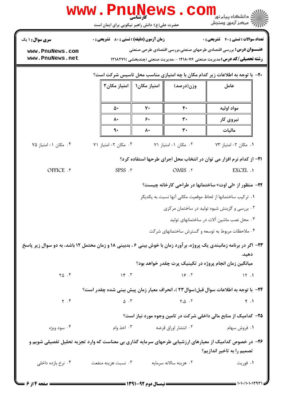|                                                                                                                                       | www.PnuNews.com                                                                                                                                                             |    |                        | د دانشگاه پيام نور<br>رآ - مرڪز آزمون وسنڊش                                                                 |  |
|---------------------------------------------------------------------------------------------------------------------------------------|-----------------------------------------------------------------------------------------------------------------------------------------------------------------------------|----|------------------------|-------------------------------------------------------------------------------------------------------------|--|
| سری سوال: ۱ یک                                                                                                                        | حضرت علی(ع): دانش راهبر نیکویی برای ایمان است<br><b>زمان آزمون (دقیقه) : تستی : 80 ٪ تشریحی : 0</b>                                                                         |    |                        | <b>تعداد سوالات : تستی : 40 - تشریحی : 0</b>                                                                |  |
| www.PnuNews.com<br>www.PnuNews.net                                                                                                    |                                                                                                                                                                             |    |                        | <b>عنـــوان درس:</b> بررسی اقتصادی طرحهای صنعتی،بررسی اقتصادی طرحی صنعتی                                    |  |
|                                                                                                                                       | <b>رشته تحصیلی/کد درس: م</b> دیریت صنعتی ۱۲۱۸۰۷۶ - ،مدیریت صنعتی (چندبخشی )۲۱۸۲۷۱ (<br><b>۲۰</b> - با توجه به اطلاعات زیر کدام مکان با چه امتیازی مناسب محل تاسیس شرکت است؟ |    |                        |                                                                                                             |  |
|                                                                                                                                       | امتیاز مکان۱    امتیاز مکان۲                                                                                                                                                |    | وزن(درصد)              | عامل                                                                                                        |  |
|                                                                                                                                       |                                                                                                                                                                             |    |                        |                                                                                                             |  |
|                                                                                                                                       | ۵۰                                                                                                                                                                          | ٧٠ | $\mathfrak{f}$ .       | مواد اوليه                                                                                                  |  |
|                                                                                                                                       | ۸۰                                                                                                                                                                          | ۶٠ | ٣٠                     | نیروی کار                                                                                                   |  |
|                                                                                                                                       | ٩٠                                                                                                                                                                          | ۸۰ | ٣٠                     | ماليات                                                                                                      |  |
| ۰۴ مکان ۱- امتیاز ۷۵                                                                                                                  | ۰۳ مکان ۲- امتیاز ۷۱                                                                                                                                                        |    | ۰۲ مکان ۱- امتیاز ۷۱   | ۰۱ مکان ۲- امتیاز ۷۳                                                                                        |  |
| OFFICE . ۴                                                                                                                            | SPSS . ٣                                                                                                                                                                    |    | OMIS .Y                | <b>۲۱</b> - از کدام نرم افزار می توان در انتخاب محل اجرای طرحها استفاده کرد؟<br>EXCEL .1                    |  |
|                                                                                                                                       |                                                                                                                                                                             |    |                        |                                                                                                             |  |
|                                                                                                                                       |                                                                                                                                                                             |    |                        | <b>۲۲- منظور از «لی اوت» ساختمانها در طراحی کارخانه چیست؟</b>                                               |  |
|                                                                                                                                       |                                                                                                                                                                             |    |                        | ٠١ تركيب ساختمانها از لحاظ موقعيت مكاني آنها نسبت به يكديگر<br>۰۲ بررسی و گزینش شیوه تولید در ساختمان مرکزی |  |
|                                                                                                                                       |                                                                                                                                                                             |    |                        | ۰۳ محل نصب ماشین آلات در ساختمانهای تولید                                                                   |  |
|                                                                                                                                       |                                                                                                                                                                             |    |                        | ۰۴ ملاحظات مربوط به توسعه و گسترش ساختمانهای شرکت                                                           |  |
| ۲۳- اگر در برنامه زمانبندی یک پروژه، برآورد زمان با خوش بینی ۶، بدبینی ۱۸ و زمان محتمل ۱۲ باشد، به دو سوال زیر پاسخ                   |                                                                                                                                                                             |    |                        |                                                                                                             |  |
|                                                                                                                                       |                                                                                                                                                                             |    |                        | دهيد.                                                                                                       |  |
| $\Upsilon \Delta$ .                                                                                                                   | $\gamma$ $\gamma$                                                                                                                                                           |    | 15.7                   | میانگین زمان انجام پروژه در تکینیک پرت چقدر خواهد بود؟<br>15.1                                              |  |
|                                                                                                                                       |                                                                                                                                                                             |    |                        |                                                                                                             |  |
| $\gamma$ . $\zeta$                                                                                                                    | ٢۴– با توجه به اطلاعات سوال قبل(سوال٢٣ )، انحراف معيار زمان پيش بيني شده چقدر است؟<br>$\Delta$ . ٣                                                                          |    | $Y \cdot \Delta$ .     | f.1                                                                                                         |  |
|                                                                                                                                       |                                                                                                                                                                             |    |                        | ۲۵– کدامیک از منابع مالی داخلی شرکت در تامین وجوه مورد نیاز است؟                                            |  |
| ۰۴ سود ويژه                                                                                                                           | ۰۳ اخذ وام                                                                                                                                                                  |    | ۰۲ انتشار اوراق قرضه   | ۰۱ فروش سهام                                                                                                |  |
|                                                                                                                                       |                                                                                                                                                                             |    |                        |                                                                                                             |  |
| ۲۶– در خصوص کدامیک از معیارهای ارزشیابی طرحهای سرمایه گذاری بی معناست که وارد تجزیه تحلیل تفصیلی شویم و<br>تصمیم را به تاخیر اندازیم؟ |                                                                                                                                                                             |    |                        |                                                                                                             |  |
| ۰۴ نرخ بازده داخلی                                                                                                                    | ۰۳ نسبت هزينه منفعت                                                                                                                                                         |    | ۰۲ هزینه سالانه سرمایه | ۰۱ فوريت                                                                                                    |  |
|                                                                                                                                       |                                                                                                                                                                             |    |                        |                                                                                                             |  |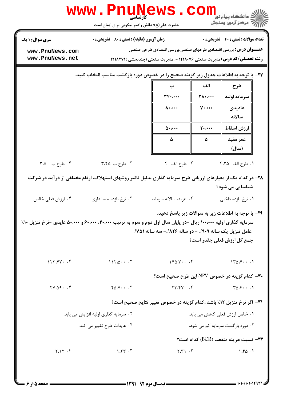|                                    | کارشناسی<br>حضرت علی(ع): دانش راهبر نیکویی برای ایمان است                                                                              |                                                                                                                                                                       |                  | ڈ دانشگا  پیام نور<br>رِ ۖ مرڪز آزمون وسنڊش                                       |  |  |
|------------------------------------|----------------------------------------------------------------------------------------------------------------------------------------|-----------------------------------------------------------------------------------------------------------------------------------------------------------------------|------------------|-----------------------------------------------------------------------------------|--|--|
| <b>سری سوال :</b> ۱ یک             | <b>زمان آزمون (دقیقه) : تستی : 80 ٪ تشریحی : 0</b>                                                                                     |                                                                                                                                                                       |                  | <b>تعداد سوالات : تستي : 40 ٪ تشريحي : 0</b>                                      |  |  |
| www.PnuNews.com<br>www.PnuNews.net |                                                                                                                                        | <b>عنـــوان درس:</b> بررسی اقتصادی طرحهای صنعتی،بررسی اقتصادی طرحی صنعتی<br><b>رشته تحصیلی/کد درس:</b> مدیریت صنعتی ۱۲۱۸۰۷۶ - ،مدیریت صنعتی (چندبخشی )۲۱۸۲۷۱ <b>۱</b> |                  |                                                                                   |  |  |
|                                    | ۲۷- با توجه به اطلاعات جدول زیر گزینه صحیح را در خصوص دوره بازگشت مناسب انتخاب کنید.                                                   |                                                                                                                                                                       |                  |                                                                                   |  |  |
|                                    |                                                                                                                                        | ب                                                                                                                                                                     | الف              | طرح                                                                               |  |  |
|                                    |                                                                                                                                        | $\mathbf{r}_{\mathbf{f}^{\star},\cdots}$                                                                                                                              | <b>TA</b>        | سرمايه اوليه                                                                      |  |  |
|                                    |                                                                                                                                        | $\Lambda$                                                                                                                                                             | $V \cdot \cdots$ | عاديدي<br>سالانه                                                                  |  |  |
|                                    |                                                                                                                                        | $\Delta$                                                                                                                                                              | $\mathbf{y}$     | ارزش اسقاط                                                                        |  |  |
|                                    |                                                                                                                                        | ۵                                                                                                                                                                     | $\pmb{\Delta}$   | عمر مفيد<br>(سال)                                                                 |  |  |
| ۰۴ طرح ب - ۳،۵                     | ۰۳ طرح ب-۲،۲۵                                                                                                                          | ٢. طرح الف- ۴                                                                                                                                                         |                  | ٠١. طرح الف- ۴،٢۵                                                                 |  |  |
| ۰۴ ارزش فعلی خالص                  | ۲۸- در کدام یک از معیارهای ارزیابی طرح سرمایه گذاری بدلیل تاثیر روشهای استهلاک، ارقام مختلفی از درآمد در شرکت<br>۰۳ نرخ بازده حسابداری | ۰۲ هزینه سالانه سرمایه                                                                                                                                                |                  | شناسایی می شود؟<br>۰۱ نرخ بازده داخلی                                             |  |  |
|                                    | سرمایه گذاری اولیه ۱۰۰٬۰۰۰ ریال –در پایان سال اول دوم و سوم به ترتیب ۴۰٬۰۰۰، ۶۰٬۰۰۰ و ۵۰٬۰۰۰ عایدی –نرخ تنزیل ۱۰٪                      | عامل تنزيل يک ساله ٩٠٩/. - دو ساله ٨٢۶/.- سه ساله ٧۵١/.                                                                                                               |                  | ۲۹- با توجه به اطلاعات زیر به سوالات زیر پاسخ دهید.<br>جمع کل ارزش فعلی چقدر است؟ |  |  |
| 157.54                             | $115.0 \cdot \cdot \cdot$ $\cdot$ $\cdot$                                                                                              | $160.1 \cdot 17$                                                                                                                                                      |                  | 170.51                                                                            |  |  |
|                                    |                                                                                                                                        | <b>۳۰-</b> کدام گزینه در خصوص NPV این طرح صحیح است؟                                                                                                                   |                  |                                                                                   |  |  |
| $Y \cdot \Delta Q \cdot \cdot f$   | $Y \Delta V \cdot \cdot \cdot Y$                                                                                                       | $Y - YY + Y$                                                                                                                                                          |                  | $T\Delta \mathcal{F}\cdots$ .                                                     |  |  |
|                                    |                                                                                                                                        | ٣١- اگر نرخ تنزيل ١٢٪ باشد ،كدام گزينه در خصوص تغيير نتايج صحيح است؟                                                                                                  |                  |                                                                                   |  |  |
|                                    | ۲. سرمایه گذاری اولیه افزایش می یابد.                                                                                                  |                                                                                                                                                                       |                  | ۰۱ خالص ارزش فعلی کاهش می یابد.                                                   |  |  |
|                                    | ۰۴ عایدات طرح تغییر می کند.                                                                                                            |                                                                                                                                                                       |                  | ۰۳ دوره بازگشت سرمایه کم می شود.                                                  |  |  |
|                                    |                                                                                                                                        |                                                                                                                                                                       |                  | ٣٢- نسبت هزينه منفعت (BCR) كدام است؟                                              |  |  |
| Y.1Y.5                             | $\lambda$ . $\lambda \tau$ . $\tau$                                                                                                    | $Y,Y \cap Y$                                                                                                                                                          |                  | 1.50.1                                                                            |  |  |
|                                    |                                                                                                                                        |                                                                                                                                                                       |                  |                                                                                   |  |  |

**DESIMATE** 

 $\bigcap$   $\bigcap$ 

 $1.111$ 

 $\mathbf{L}$ 

an Lagan Laga